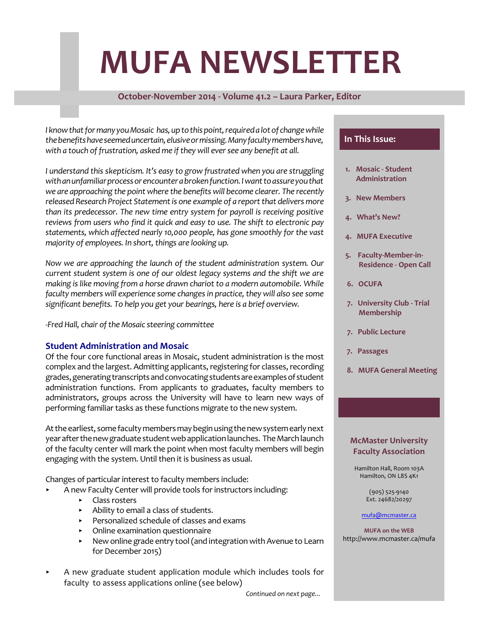# **MUFA NEWSLETTER**

## **October-November 2014 - Volume 41.2 – Laura Parker, Editor**

*I* know that for many you Mosaic has, up to this point, required a lot of change while *thebenefitshaveseemeduncertain,elusiveormissing.Manyfacultymembershave, with a touch of frustration, asked me ifthey will eversee any benefit at all.*

*I understand this skepticism. It's easy to grow frustrated when you are struggling withanunfamiliarprocessorencounterabrokenfunction.Iwanttoassureyouthat we are approaching the point where the benefits will become clearer. The recently released Research Project Statementis one example of a reportthat delivers more than its predecessor. The new time entry system for payroll is receiving positive reviews from users who find it quick and easy to use. The shift to electronic pay statements, which affected nearly 10,000 people, has gone smoothly for the vast majority of employees.* In *short, things are looking up.* 

*Now we are approaching the launch of the student administration system. Our current student system is one of our oldest legacy systems and the shift we are making is like moving from a horse drawn chariot to a modern automobile. While faculty members will experience some changesin practice,they will also see some significant benefits. To help you get your bearings, here is a brief overview.*

*-Fred Hall, chair ofthe Mosaic steering committee*

## **Student Administration and Mosaic**

Of the four core functional areas in Mosaic, student administration is the most complex and the largest. Admitting applicants, registering for classes, recording grades, generating transcripts and convocating students are examples of student administration functions. From applicants to graduates, faculty members to administrators, groups across the University will have to learn new ways of performing familiar tasks as these functions migrate to the new system.

At the earliest, some faculty members may begin using the new system early next year after the new graduate student web application launches. The March launch of the faculty center will mark the point when most faculty members will begin engaging with the system. Until then it is business as usual.

Changes of particular interest to faculty members include:

- < A new Faculty Center will provide tools for instructors including:
	- Class rosters
	- < Ability to email a class of students.
	- < Personalized schedule of classes and exams
	- < Online examination questionnaire
	- New online grade entry tool (and integration with Avenue to Learn for December 2015)
- < A new graduate student application module which includes tools for faculty to assess applications online (see below)

## **In This Issue:**

- **1. Mosaic Student Administration**
- **3. New Members**
- **4. What's New?**
- **4. MUFA Executive**
- **5. Faculty-Member-in- Residence - Open Call**
- **6. OCUFA**
- **7. University Club Trial Membership**
- **7. Public Lecture**
- **7. Passages**
- **8. MUFA General Meeting**

#### **McMaster University Faculty Association**

Hamilton Hall, Room 103A Hamilton, ON L8S 4K1

> (905) 525-9140 Ext. 24682/20297

#### [mufa@mcmaster.ca](mailto:mufa@mcmaster.ca)

**MUFA on the WEB** http://www.mcmaster.ca/mufa

*Continued on next page...*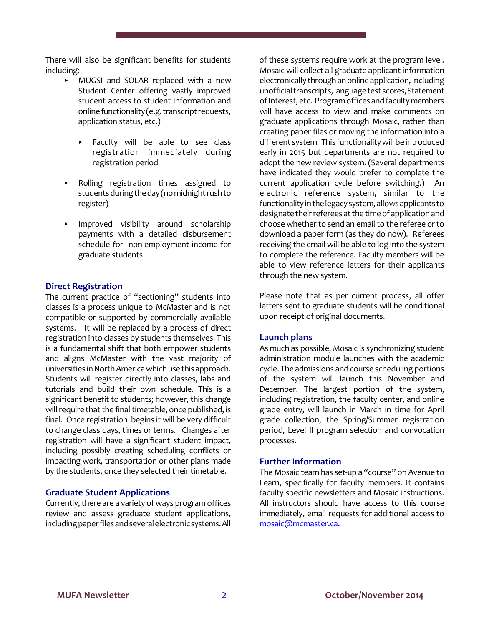There will also be significant benefits for students including:

- < MUGSI and SOLAR replaced with a new Student Center offering vastly improved student access to student information and online functionality (e.g. transcript requests, application status, etc.)
	- Faculty will be able to see class registration immediately during registration period
- Rolling registration times assigned to students during the day (no midnight rush to register)
- < Improved visibility around scholarship payments with a detailed disbursement schedule for non-employment income for graduate students

## **Direct Registration**

The current practice of "sectioning" students into classes is a process unique to McMaster and is not compatible or supported by commercially available systems. It will be replaced by a process of direct registration into classes by students themselves. This is a fundamental shift that both empower students and aligns McMaster with the vast majority of universities in North America which use this approach. Students will register directly into classes, labs and tutorials and build their own schedule. This is a significant benefit to students; however, this change will require that the final timetable, once published, is final. Once registration begins it will be very difficult to change class days, times or terms. Changes after registration will have a significant student impact, including possibly creating scheduling conflicts or impacting work, transportation or other plans made by the students, once they selected their timetable.

## **Graduate Student Applications**

Currently, there are a variety of ways program offices review and assess graduate student applications, including paper files and several electronic systems. All

of these systems require work at the program level. Mosaic will collect all graduate applicant information electronically through an online application, including unofficial transcripts, language test scores, Statement of Interest, etc. Program offices and faculty members will have access to view and make comments on graduate applications through Mosaic, rather than creating paper files or moving the information into a different system. This functionality will be introduced early in 2015 but departments are not required to adopt the new review system. (Several departments have indicated they would prefer to complete the current application cycle before switching.) An electronic reference system, similar to the functionality in the legacy system, allows applicants to designate their referees at the time of application and choose whether to send an email to the referee or to download a paper form (as they do now). Referees receiving the email will be able to log into the system to complete the reference. Faculty members will be able to view reference letters for their applicants through the new system.

Please note that as per current process, all offer letters sent to graduate students will be conditional upon receipt of original documents.

## **Launch plans**

As much as possible, Mosaic is synchronizing student administration module launches with the academic cycle. The admissions and course scheduling portions of the system will launch this November and December. The largest portion of the system, including registration, the faculty center, and online grade entry, will launch in March in time for April grade collection, the Spring/Summer registration period, Level II program selection and convocation processes.

## **Further Information**

The Mosaic team has set-up a "course" on Avenue to Learn, specifically for faculty members. It contains faculty specific newsletters and Mosaic instructions. All instructors should have access to this course immediately, email requests for additional access to [mosaic@mcmaster.ca.](mailto:mosaic@mcmaster.ca.)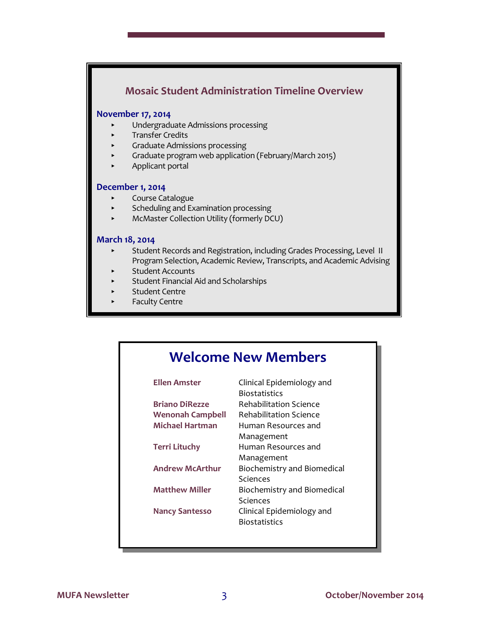## **Mosaic Student Administration Timeline Overview**

## **November 17, 2014**

- < Undergraduate Admissions processing
- < Transfer Credits
- < Graduate Admissions processing
- < Graduate program web application (February/March 2015)
- < Applicant portal

#### **December 1, 2014**

- **EXECOULTSE Catalogue**
- < Scheduling and Examination processing
- McMaster Collection Utility (formerly DCU)

#### **March 18, 2014**

- Student Records and Registration, including Grades Processing, Level II Program Selection, Academic Review, Transcripts, and Academic Advising
- Student Accounts
- < Student Financial Aid and Scholarships
- Student Centre
- Faculty Centre

## **Welcome New Members**

| Ellen Amster            | Clinical Epidemiology and     |
|-------------------------|-------------------------------|
|                         | Biostatistics                 |
| <b>Briano DiRezze</b>   | Rehabilitation Science        |
| <b>Wenonah Campbell</b> | <b>Rehabilitation Science</b> |
| Michael Hartman         | Human Resources and           |
|                         | Management                    |
| <b>Terri Lituchy</b>    | Human Resources and           |
|                         | Management                    |
| <b>Andrew McArthur</b>  | Biochemistry and Biomedical   |
|                         | Sciences                      |
| <b>Matthew Miller</b>   | Biochemistry and Biomedical   |
|                         | Sciences                      |
| <b>Nancy Santesso</b>   | Clinical Epidemiology and     |
|                         | Biostatistics                 |
|                         |                               |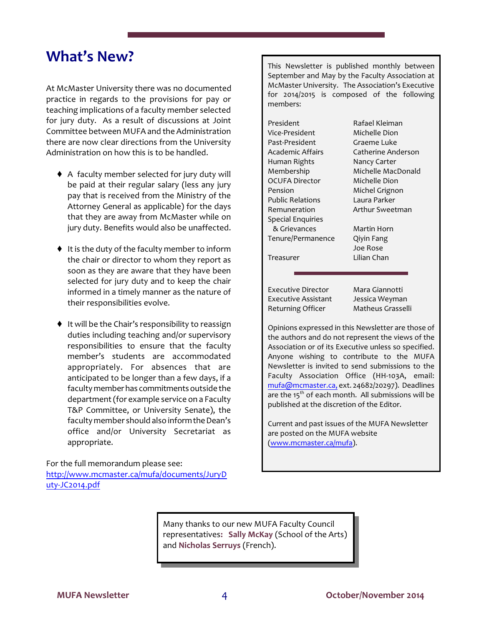## **What's New?**

At McMaster University there was no documented practice in regards to the provisions for pay or teaching implications of a faculty member selected for jury duty. As a result of discussions at Joint Committee between MUFA and the Administration there are now clear directions from the University Administration on how this is to be handled.

- A faculty member selected for jury duty will be paid at their regular salary (less any jury pay that is received from the Ministry of the Attorney General as applicable) for the days that they are away from McMaster while on jury duty. Benefits would also be unaffected.
- $\bullet$  It is the duty of the faculty member to inform the chair or director to whom they report as soon as they are aware that they have been selected for jury duty and to keep the chair informed in a timely manner as the nature of their responsibilities evolve.
- ♦ It will be the Chair's responsibility to reassign duties including teaching and/or supervisory responsibilities to ensure that the faculty member's students are accommodated appropriately. For absences that are anticipated to be longer than a few days, if a faculty memberhas commitments outside the department (for example service on a Faculty T&P Committee, or University Senate), the faculty member should also inform the Dean's office and/or University Secretariat as appropriate.

For the full memorandum please see: [http://www.mcmaster.ca/mufa/documents/JuryD](http://www.mcmaster.ca/mufa/documents/JuryDuty-JC2014.pdf) [uty-JC2014.pdf](http://www.mcmaster.ca/mufa/documents/JuryDuty-JC2014.pdf)

This Newsletter is published monthly between September and May by the Faculty Association at McMaster University. The Association's Executive for 2014/2015 is composed of the following members:

| President                | Rafael Kleiman     |
|--------------------------|--------------------|
| Vice-President           | Michelle Dion      |
| Past-President           | Graeme Luke        |
| Academic Affairs         | Catherine Anderson |
| Human Rights             | Nancy Carter       |
| Membership               | Michelle MacDonald |
| <b>OCUFA Director</b>    | Michelle Dion      |
| Pension                  | Michel Grignon     |
| <b>Public Relations</b>  | Laura Parker       |
| Remuneration             | Arthur Sweetman    |
| <b>Special Enquiries</b> |                    |
| & Grievances             | Martin Horn        |
| Tenure/Permanence        | Qiyin Fang         |
|                          | Joe Rose           |
| Treasurer                | Lilian Chan        |

Executive Director Mara Giannotti Executive Assistant Jessica Weyman Returning Officer Matheus Grasselli

Opinions expressed in this Newsletter are those of the authors and do not represent the views of the Association or of its Executive unless so specified. Anyone wishing to contribute to the MUFA Newsletter is invited to send submissions to the Faculty Association Office (HH-103A, email: [mufa@mcmaster.ca,](mailto:mufa@mcmaster.ca,) ext. 24682/20297). Deadlines are the  $15<sup>th</sup>$  of each month. All submissions will be published at the discretion of the Editor.

Current and past issues of the MUFA Newsletter are posted on the MUFA website [\(www.mcmaster.ca/mufa](http://www.mcmaster.ca/mufa)).

Many thanks to our new MUFA Faculty Council representatives**: Sally McKay** (School of the Arts) and **Nicholas Serruys** (French).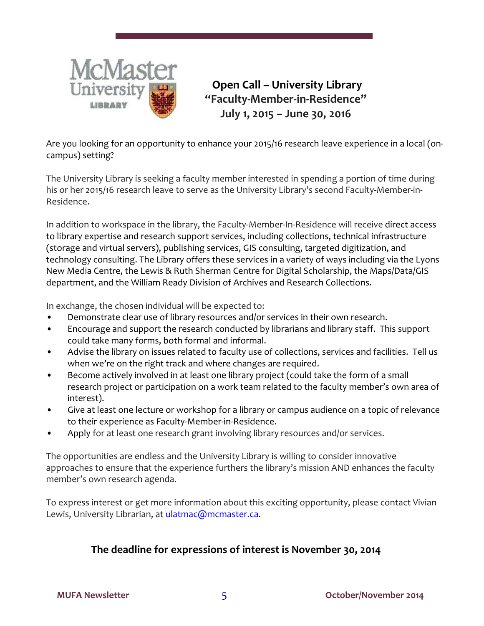

 **Open Call – University Library "Faculty-Member-in-Residence" July 1, 2015 – June 30, 2016**

Are you looking for an opportunity to enhance your 2015/16 research leave experience in a local (oncampus) setting?

The University Library is seeking a faculty member interested in spending a portion of time during his or her 2015/16 research leave to serve as the University Library's second Faculty-Member-in-Residence.

In addition to workspace in the library, the Faculty-Member-In-Residence will receive direct access to library expertise and research support services, including collections, technical infrastructure (storage and virtual servers), publishing services, GIS consulting, targeted digitization, and technology consulting. The Library offers these services in a variety of ways including via the Lyons New Media Centre, the Lewis & Ruth Sherman Centre for Digital Scholarship, the Maps/Data/GIS department, and the William Ready Division of Archives and Research Collections.

In exchange, the chosen individual will be expected to:

- Demonstrate clear use of library resources and/or services in their own research.
- Encourage and support the research conducted by librarians and library staff. This support could take many forms, both formal and informal.
- Advise the library on issues related to faculty use of collections, services and facilities. Tell us when we're on the right track and where changes are required.
- Become actively involved in at least one library project (could take the form of a small research project or participation on a work team related to the faculty member's own area of interest).
- Give at least one lecture or workshop for a library or campus audience on a topic of relevance to their experience as Faculty-Member-in-Residence.
- Apply for at least one research grant involving library resources and/or services.

The opportunities are endless and the University Library is willing to consider innovative approaches to ensure that the experience furthers the library's mission AND enhances the faculty member's own research agenda.

To express interest or get more information about this exciting opportunity, please contact Vivian Lewis, University Librarian, at [ulatmac@mcmaster.ca](mailto:).

## **The deadline for expressions of interest is November 30, 2014**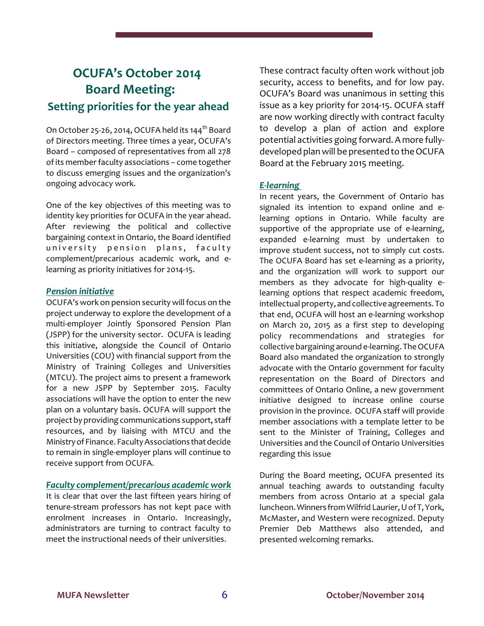## **OCUFA's October 2014 Board Meeting: Setting priorities for the year ahead**

On October 25-26, 2014, OCUFA held its 144<sup>th</sup> Board of Directors meeting. Three times a year, OCUFA's Board – composed of representatives from all 278 of its memberfaculty associations – come together to discuss emerging issues and the organization's ongoing advocacy work.

One of the key objectives of this meeting was to identity key priorities for OCUFA in the year ahead. After reviewing the political and collective bargaining context in Ontario, the Board identified university pension plans, faculty complement/precarious academic work, and elearning as priority initiatives for 2014-15.

## *Pension initiative*

OCUFA's work on pension security will focus on the project underway to explore the development of a multi-employer Jointly Sponsored Pension Plan (JSPP) for the university sector. OCUFA is leading this initiative, alongside the Council of Ontario Universities (COU) with financial support from the Ministry of Training Colleges and Universities (MTCU). The project aims to present a framework for a new JSPP by September 2015. Faculty associations will have the option to enter the new plan on a voluntary basis. OCUFA will support the project by providing communications support, staff resources, and by liaising with MTCU and the Ministry of Finance. Faculty Associations that decide to remain in single-employer plans will continue to receive support from OCUFA.

## *Faculty complement/precarious academic work*

It is clear that over the last fifteen years hiring of tenure-stream professors has not kept pace with enrolment increases in Ontario. Increasingly, administrators are turning to contract faculty to meet the instructional needs of their universities.

These contract faculty often work without job security, access to benefits, and for low pay. OCUFA's Board was unanimous in setting this issue as a key priority for 2014-15. OCUFA staff are now working directly with contract faculty to develop a plan of action and explore potential activities going forward. A more fullydeveloped plan will be presented to the OCUFA Board at the February 2015 meeting.

## *E-learning*

In recent years, the Government of Ontario has signaled its intention to expand online and elearning options in Ontario. While faculty are supportive of the appropriate use of e-learning, expanded e-learning must by undertaken to improve student success, not to simply cut costs. The OCUFA Board has set e-learning as a priority, and the organization will work to support our members as they advocate for high-quality elearning options that respect academic freedom, intellectual property, and collective agreements. To that end, OCUFA will host an e-learning workshop on March 20, 2015 as a first step to developing policy recommendations and strategies for collective bargaining around e-learning. The OCUFA Board also mandated the organization to strongly advocate with the Ontario government for faculty representation on the Board of Directors and committees of Ontario Online, a new government initiative designed to increase online course provision in the province. OCUFA staff will provide member associations with a template letter to be sent to the Minister of Training, Colleges and Universities and the Council of Ontario Universities regarding this issue

During the Board meeting, OCUFA presented its annual teaching awards to outstanding faculty members from across Ontario at a special gala luncheon.Winners from Wilfrid Laurier, Uof T, York, McMaster, and Western were recognized. Deputy Premier Deb Matthews also attended, and presented welcoming remarks.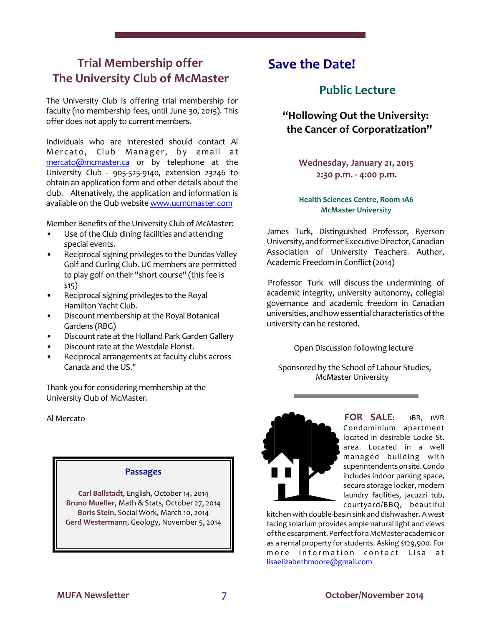## **Trial Membership offer The University Club of McMaster**

The University Club is offering trial membership for faculty (no membership fees, until June 30, 2015). This offer does not apply to current members.

Individuals who are interested should contact Al Mercato, Club Manager, by email at [mercato@mcmaster.ca](mailto:mercato@mcmaster.ca) or by telephone at the University Club - 905-525-9140, extension 23246 to obtain an application form and other details about the club. Altenatively, the application and information is available on the Club website [www.ucmcmaster.com](http://www.ucmcmaster.com)

Member Benefits of the University Club of McMaster:

- Use of the Club dining facilities and attending special events.
- Reciprocal signing privileges to the Dundas Valley Golf and Curling Club. UC members are permitted to play golf on their "short course" (this fee is \$15)
- Reciprocal signing privileges to the Royal Hamilton Yacht Club.
- Discount membership at the Royal Botanical Gardens (RBG)
- Discount rate at the Holland Park Garden Gallery
- Discount rate at the Westdale Florist.
- Reciprocal arrangements at faculty clubs across Canada and the US."

Thank you for considering membership at the University Club of McMaster.

## Al Mercato

## **Passages**

**Carl Ballstadt**, English, October 14, 2014 **Bruno Mueller**, Math & Stats, October 27, 2014 **Boris Stein**, Social Work, March 10, 2014 **Gerd Westermann**, Geology, November 5, 2014

## **Save the Date!**

## **Public Lecture**

 **"Hollowing Out the University: the Cancer of Corporatization"**

> **Wednesday, January 21, 2015 2:30 p.m. - 4:00 p.m.**

## **Health Sciences Centre, Room 1A6 McMaster University**

James Turk, Distinguished Professor, Ryerson University, and former Executive Director, Canadian Association of University Teachers. Author, Academic Freedom in Conflict (2014)

 Professor Turk will discuss the undermining of academic integrity, university autonomy, collegial governance and academic freedom in Canadian universities, and how essential characteristics of the university can be restored.

Open Discussion following lecture

Sponsored by the School of Labour Studies, McMaster University



**FOR SALE**: 1BR, 1WR Condominium apartment located in desirable Locke St. area. Located in a well managed building with superintendents on site. Condo includes indoor parking space, secure storage locker, modern laundry facilities, jacuzzi tub, courtyard/BBQ, beautiful

kitchen with double-basin sink and dishwasher. A west facing solarium provides ample natural light and views of the escarpment. Perfect for a McMaster academic or as a rental property for students. Asking \$129,900. For more information contact Lisa at [lisaelizabethmoore@gmail.com](mailto:lisaelizabethmoore@gmail.com)